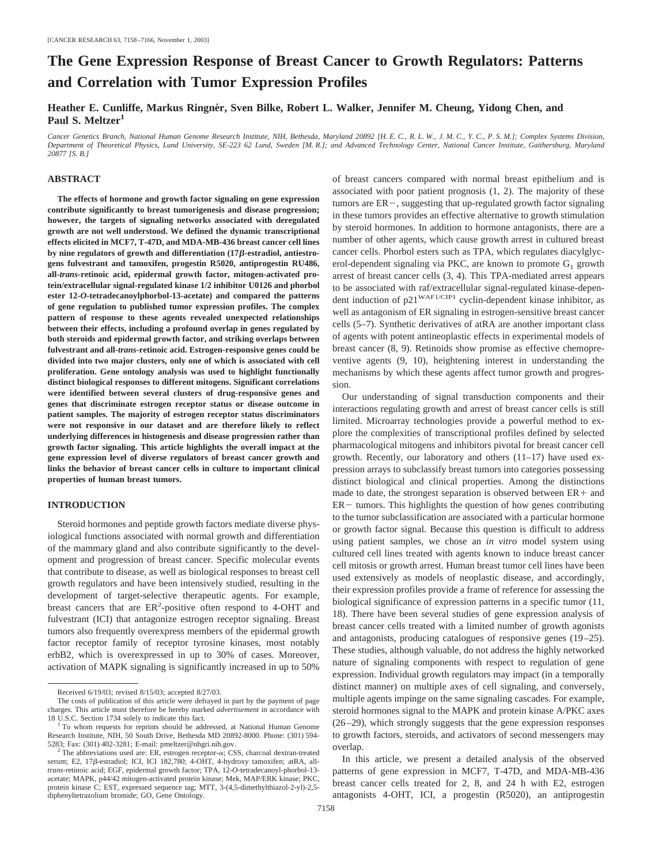# **The Gene Expression Response of Breast Cancer to Growth Regulators: Patterns and Correlation with Tumor Expression Profiles**

Heather E. Cunliffe, Markus Ringnér, Sven Bilke, Robert L. Walker, Jennifer M. Cheung, Yidong Chen, and Paul S. Meltzer<sup>1</sup>

*Cancer Genetics Branch, National Human Genome Research Institute, NIH, Bethesda, Maryland 20892 [H. E. C., R. L. W., J. M. C., Y. C., P. S. M.]; Complex Systems Division, Department of Theoretical Physics, Lund University, SE-223 62 Lund, Sweden [M. R.]; and Advanced Technology Center, National Cancer Institute, Gaithersburg, Maryland 20877 [S. B.]*

## **ABSTRACT**

**The effects of hormone and growth factor signaling on gene expression contribute significantly to breast tumorigenesis and disease progression; however, the targets of signaling networks associated with deregulated growth are not well understood. We defined the dynamic transcriptional effects elicited in MCF7, T-47D, and MDA-MB-436 breast cancer cell lines** by nine regulators of growth and differentiation (17β-estradiol, antiestro**gens fulvestrant and tamoxifen, progestin R5020, antiprogestin RU486, all-***trans-***retinoic acid, epidermal growth factor, mitogen-activated protein/extracellular signal-regulated kinase 1/2 inhibitor U0126 and phorbol ester 12-***O***-tetradecanoylphorbol-13-acetate) and compared the patterns of gene regulation to published tumor expression profiles. The complex pattern of response to these agents revealed unexpected relationships between their effects, including a profound overlap in genes regulated by both steroids and epidermal growth factor, and striking overlaps between fulvestrant and all-***trans-***retinoic acid. Estrogen-responsive genes could be divided into two major clusters, only one of which is associated with cell proliferation. Gene ontology analysis was used to highlight functionally distinct biological responses to different mitogens. Significant correlations were identified between several clusters of drug-responsive genes and genes that discriminate estrogen receptor status or disease outcome in patient samples. The majority of estrogen receptor status discriminators were not responsive in our dataset and are therefore likely to reflect underlying differences in histogenesis and disease progression rather than growth factor signaling. This article highlights the overall impact at the gene expression level of diverse regulators of breast cancer growth and links the behavior of breast cancer cells in culture to important clinical properties of human breast tumors.**

#### **INTRODUCTION**

Steroid hormones and peptide growth factors mediate diverse physiological functions associated with normal growth and differentiation of the mammary gland and also contribute significantly to the development and progression of breast cancer. Specific molecular events that contribute to disease, as well as biological responses to breast cell growth regulators and have been intensively studied, resulting in the development of target-selective therapeutic agents. For example, breast cancers that are  $ER^2$ -positive often respond to 4-OHT and fulvestrant (ICI) that antagonize estrogen receptor signaling. Breast tumors also frequently overexpress members of the epidermal growth factor receptor family of receptor tyrosine kinases, most notably erbB2, which is overexpressed in up to 30% of cases. Moreover, activation of MAPK signaling is significantly increased in up to 50%

of breast cancers compared with normal breast epithelium and is associated with poor patient prognosis (1, 2). The majority of these tumors are  $ER-$ , suggesting that up-regulated growth factor signaling in these tumors provides an effective alternative to growth stimulation by steroid hormones. In addition to hormone antagonists, there are a number of other agents, which cause growth arrest in cultured breast cancer cells. Phorbol esters such as TPA, which regulates diacylglycerol-dependent signaling via PKC, are known to promote  $G_1$  growth arrest of breast cancer cells (3, 4). This TPA-mediated arrest appears to be associated with raf/extracellular signal-regulated kinase-dependent induction of p21<sup>WAF1/CIP1</sup> cyclin-dependent kinase inhibitor, as well as antagonism of ER signaling in estrogen-sensitive breast cancer cells (5–7). Synthetic derivatives of atRA are another important class of agents with potent antineoplastic effects in experimental models of breast cancer (8, 9). Retinoids show promise as effective chemopreventive agents (9, 10), heightening interest in understanding the mechanisms by which these agents affect tumor growth and progression.

Our understanding of signal transduction components and their interactions regulating growth and arrest of breast cancer cells is still limited. Microarray technologies provide a powerful method to explore the complexities of transcriptional profiles defined by selected pharmacological mitogens and inhibitors pivotal for breast cancer cell growth. Recently, our laboratory and others (11–17) have used expression arrays to subclassify breast tumors into categories possessing distinct biological and clinical properties. Among the distinctions made to date, the strongest separation is observed between  $ER +$  and  $ER$  – tumors. This highlights the question of how genes contributing to the tumor subclassification are associated with a particular hormone or growth factor signal. Because this question is difficult to address using patient samples, we chose an *in vitro* model system using cultured cell lines treated with agents known to induce breast cancer cell mitosis or growth arrest. Human breast tumor cell lines have been used extensively as models of neoplastic disease, and accordingly, their expression profiles provide a frame of reference for assessing the biological significance of expression patterns in a specific tumor (11, 18). There have been several studies of gene expression analysis of breast cancer cells treated with a limited number of growth agonists and antagonists, producing catalogues of responsive genes (19–25). These studies, although valuable, do not address the highly networked nature of signaling components with respect to regulation of gene expression. Individual growth regulators may impact (in a temporally distinct manner) on multiple axes of cell signaling, and conversely, multiple agents impinge on the same signaling cascades. For example, steroid hormones signal to the MAPK and protein kinase A/PKC axes (26–29), which strongly suggests that the gene expression responses to growth factors, steroids, and activators of second messengers may overlap.

In this article, we present a detailed analysis of the observed patterns of gene expression in MCF7, T-47D, and MDA-MB-436 breast cancer cells treated for 2, 8, and 24 h with E2, estrogen antagonists 4-OHT, ICI, a progestin (R5020), an antiprogestin

Received 6/19/03; revised 8/15/03; accepted 8/27/03.

The costs of publication of this article were defrayed in part by the payment of page charges. This article must therefore be hereby marked *advertisement* in accordance with

<sup>&</sup>lt;sup>1</sup> To whom requests for reprints should be addressed, at National Human Genome Research Institute, NIH, 50 South Drive, Bethesda MD 20892-8000. Phone: (301) 594-5283; Fax: (301) 402-3281; E-mail: pmeltzer@nhgri.nih.gov.

<sup>&</sup>lt;sup>2</sup> The abbreviations used are: ER, estrogen receptor- $\alpha$ , CSS, charcoal dextran-treated serum; E2, 17 $\beta$ -estradiol; ICI, ICI 182,780; 4-OHT, 4-hydroxy tamoxifen; atRA, all*trans-*retinoic acid; EGF, epidermal growth factor; TPA, 12-*O*-tetradecanoyl-phorbol-13 acetate; MAPK, p44/42 mitogen-activated protein kinase; Mek, MAP/ERK kinase; PKC, protein kinase C; EST, expressed sequence tag; MTT, 3-(4,5-dimethylthiazol-2-yl)-2,5 diphenyltetrazolium bromide; GO, Gene Ontology.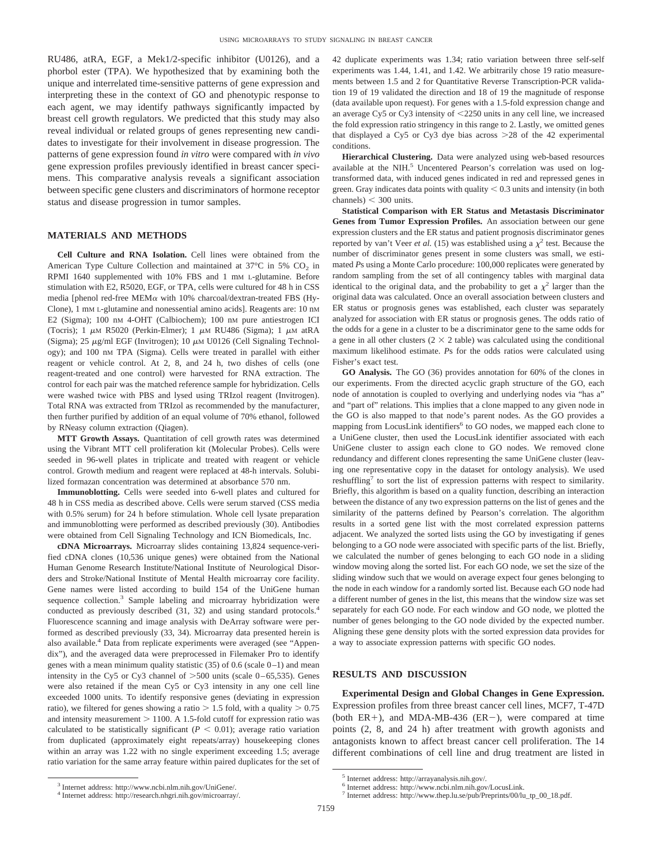RU486, atRA, EGF, a Mek1/2-specific inhibitor (U0126), and a phorbol ester (TPA). We hypothesized that by examining both the unique and interrelated time-sensitive patterns of gene expression and interpreting these in the context of GO and phenotypic response to each agent, we may identify pathways significantly impacted by breast cell growth regulators. We predicted that this study may also reveal individual or related groups of genes representing new candidates to investigate for their involvement in disease progression. The patterns of gene expression found *in vitro* were compared with *in vivo* gene expression profiles previously identified in breast cancer specimens. This comparative analysis reveals a significant association between specific gene clusters and discriminators of hormone receptor status and disease progression in tumor samples.

#### **MATERIALS AND METHODS**

**Cell Culture and RNA Isolation.** Cell lines were obtained from the American Type Culture Collection and maintained at  $37^{\circ}$ C in  $5\%$  CO<sub>2</sub> in RPMI 1640 supplemented with 10% FBS and 1 mM L-glutamine. Before stimulation with E2, R5020, EGF, or TPA, cells were cultured for 48 h in CSS media [phenol red-free MEM $\alpha$  with 10% charcoal/dextran-treated FBS (Hy-Clone), 1 mM L-glutamine and nonessential amino acids]. Reagents are: 10 nM E2 (Sigma); 100 nM 4-OHT (Calbiochem); 100 nM pure antiestrogen ICI (Tocris); 1  $\mu$ M R5020 (Perkin-Elmer); 1  $\mu$ M RU486 (Sigma); 1  $\mu$ M atRA (Sigma); 25  $\mu$ g/ml EGF (Invitrogen); 10  $\mu$ M U0126 (Cell Signaling Technology); and 100 nM TPA (Sigma). Cells were treated in parallel with either reagent or vehicle control. At 2, 8, and 24 h, two dishes of cells (one reagent-treated and one control) were harvested for RNA extraction. The control for each pair was the matched reference sample for hybridization. Cells were washed twice with PBS and lysed using TRIzol reagent (Invitrogen). Total RNA was extracted from TRIzol as recommended by the manufacturer, then further purified by addition of an equal volume of 70% ethanol, followed by RNeasy column extraction (Qiagen).

**MTT Growth Assays.** Quantitation of cell growth rates was determined using the Vibrant MTT cell proliferation kit (Molecular Probes). Cells were seeded in 96-well plates in triplicate and treated with reagent or vehicle control. Growth medium and reagent were replaced at 48-h intervals. Solubilized formazan concentration was determined at absorbance 570 nm.

**Immunoblotting.** Cells were seeded into 6-well plates and cultured for 48 h in CSS media as described above. Cells were serum starved (CSS media with 0.5% serum) for 24 h before stimulation. Whole cell lysate preparation and immunoblotting were performed as described previously (30). Antibodies were obtained from Cell Signaling Technology and ICN Biomedicals, Inc.

**cDNA Microarrays.** Microarray slides containing 13,824 sequence-verified cDNA clones (10,536 unique genes) were obtained from the National Human Genome Research Institute/National Institute of Neurological Disorders and Stroke/National Institute of Mental Health microarray core facility. Gene names were listed according to build 154 of the UniGene human sequence collection.<sup>3</sup> Sample labeling and microarray hybridization were conducted as previously described (31, 32) and using standard protocols.<sup>4</sup> Fluorescence scanning and image analysis with DeArray software were performed as described previously (33, 34). Microarray data presented herein is also available.<sup>4</sup> Data from replicate experiments were averaged (see "Appendix"), and the averaged data were preprocessed in Filemaker Pro to identify genes with a mean minimum quality statistic  $(35)$  of 0.6 (scale 0–1) and mean intensity in the Cy5 or Cy3 channel of  $>500$  units (scale 0–65,535). Genes were also retained if the mean Cy5 or Cy3 intensity in any one cell line exceeded 1000 units. To identify responsive genes (deviating in expression ratio), we filtered for genes showing a ratio  $> 1.5$  fold, with a quality  $> 0.75$ and intensity measurement  $> 1100$ . A 1.5-fold cutoff for expression ratio was calculated to be statistically significant ( $P < 0.01$ ); average ratio variation from duplicated (approximately eight repeats/array) housekeeping clones within an array was 1.22 with no single experiment exceeding 1.5; average ratio variation for the same array feature within paired duplicates for the set of

<sup>3</sup> Internet address: http://www.ncbi.nlm.nih.gov/UniGene/. <sup>4</sup> Internet address: http://research.nhgri.nih.gov/microarray/. 42 duplicate experiments was 1.34; ratio variation between three self-self experiments was 1.44, 1.41, and 1.42. We arbitrarily chose 19 ratio measurements between 1.5 and 2 for Quantitative Reverse Transcription-PCR validation 19 of 19 validated the direction and 18 of 19 the magnitude of response (data available upon request). For genes with a 1.5-fold expression change and an average Cy5 or Cy3 intensity of  $\leq$ 2250 units in any cell line, we increased the fold expression ratio stringency in this range to 2. Lastly, we omitted genes that displayed a Cy5 or Cy3 dye bias across  $>28$  of the 42 experimental conditions.

**Hierarchical Clustering.** Data were analyzed using web-based resources available at the NIH.<sup>5</sup> Uncentered Pearson's correlation was used on logtransformed data, with induced genes indicated in red and repressed genes in green. Gray indicates data points with quality  $< 0.3$  units and intensity (in both channels)  $<$  300 units.

**Statistical Comparison with ER Status and Metastasis Discriminator Genes from Tumor Expression Profiles.** An association between our gene expression clusters and the ER status and patient prognosis discriminator genes reported by van't Veer *et al.* (15) was established using a  $\chi^2$  test. Because the number of discriminator genes present in some clusters was small, we estimated *P*s using a Monte Carlo procedure: 100,000 replicates were generated by random sampling from the set of all contingency tables with marginal data identical to the original data, and the probability to get a  $\chi^2$  larger than the original data was calculated. Once an overall association between clusters and ER status or prognosis genes was established, each cluster was separately analyzed for association with ER status or prognosis genes. The odds ratio of the odds for a gene in a cluster to be a discriminator gene to the same odds for a gene in all other clusters  $(2 \times 2$  table) was calculated using the conditional maximum likelihood estimate. *P*s for the odds ratios were calculated using Fisher's exact test.

**GO Analysis.** The GO (36) provides annotation for 60% of the clones in our experiments. From the directed acyclic graph structure of the GO, each node of annotation is coupled to overlying and underlying nodes via "has a" and "part of" relations. This implies that a clone mapped to any given node in the GO is also mapped to that node's parent nodes. As the GO provides a mapping from LocusLink identifiers<sup>6</sup> to GO nodes, we mapped each clone to a UniGene cluster, then used the LocusLink identifier associated with each UniGene cluster to assign each clone to GO nodes. We removed clone redundancy and different clones representing the same UniGene cluster (leaving one representative copy in the dataset for ontology analysis). We used reshuffling<sup>7</sup> to sort the list of expression patterns with respect to similarity. Briefly, this algorithm is based on a quality function, describing an interaction between the distance of any two expression patterns on the list of genes and the similarity of the patterns defined by Pearson's correlation. The algorithm results in a sorted gene list with the most correlated expression patterns adjacent. We analyzed the sorted lists using the GO by investigating if genes belonging to a GO node were associated with specific parts of the list. Briefly, we calculated the number of genes belonging to each GO node in a sliding window moving along the sorted list. For each GO node, we set the size of the sliding window such that we would on average expect four genes belonging to the node in each window for a randomly sorted list. Because each GO node had a different number of genes in the list, this means that the window size was set separately for each GO node. For each window and GO node, we plotted the number of genes belonging to the GO node divided by the expected number. Aligning these gene density plots with the sorted expression data provides for a way to associate expression patterns with specific GO nodes.

#### **RESULTS AND DISCUSSION**

**Experimental Design and Global Changes in Gene Expression.** Expression profiles from three breast cancer cell lines, MCF7, T-47D (both  $ER+$ ), and MDA-MB-436 ( $ER-$ ), were compared at time points (2, 8, and 24 h) after treatment with growth agonists and antagonists known to affect breast cancer cell proliferation. The 14 different combinations of cell line and drug treatment are listed in

<sup>5</sup> Internet address: http://arrayanalysis.nih.gov/.

<sup>6</sup> Internet address: http://www.ncbi.nlm.nih.gov/LocusLink.

<sup>7</sup> Internet address: http://www.thep.lu.se/pub/Preprints/00/lu\_tp\_00\_18.pdf.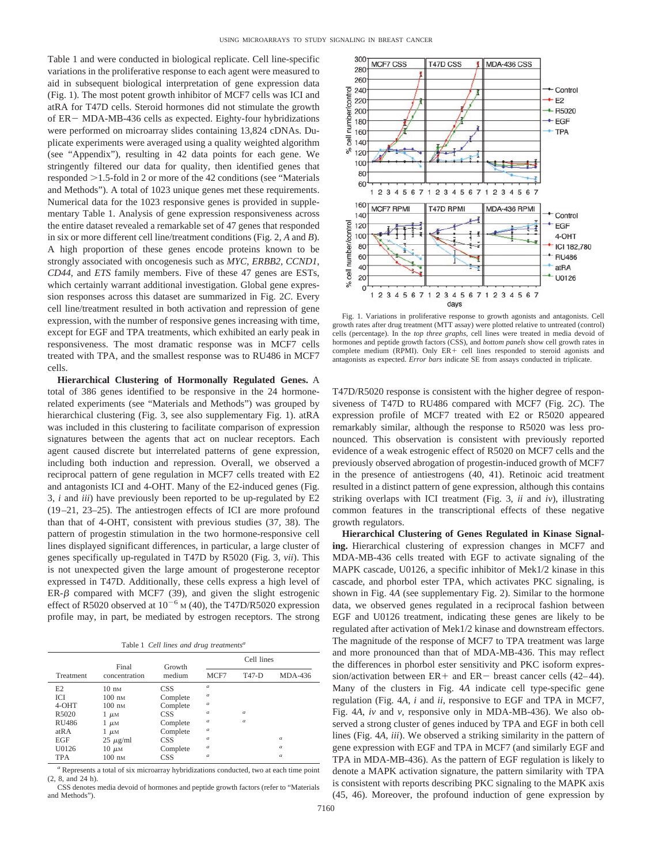Table 1 and were conducted in biological replicate. Cell line-specific variations in the proliferative response to each agent were measured to aid in subsequent biological interpretation of gene expression data (Fig. 1). The most potent growth inhibitor of MCF7 cells was ICI and atRA for T47D cells. Steroid hormones did not stimulate the growth of  $ER - MDA-MB-436$  cells as expected. Eighty-four hybridizations were performed on microarray slides containing 13,824 cDNAs. Duplicate experiments were averaged using a quality weighted algorithm (see "Appendix"), resulting in 42 data points for each gene. We stringently filtered our data for quality, then identified genes that responded  $>1.5$ -fold in 2 or more of the 42 conditions (see "Materials") and Methods"). A total of 1023 unique genes met these requirements. Numerical data for the 1023 responsive genes is provided in supplementary Table 1. Analysis of gene expression responsiveness across the entire dataset revealed a remarkable set of 47 genes that responded in six or more different cell line/treatment conditions (Fig. 2, *A* and *B*). A high proportion of these genes encode proteins known to be strongly associated with oncogenesis such as *MYC*, *ERBB2*, *CCND1*, *CD44*, and *ETS* family members. Five of these 47 genes are ESTs, which certainly warrant additional investigation. Global gene expression responses across this dataset are summarized in Fig. 2*C*. Every cell line/treatment resulted in both activation and repression of gene expression, with the number of responsive genes increasing with time, except for EGF and TPA treatments, which exhibited an early peak in responsiveness. The most dramatic response was in MCF7 cells treated with TPA, and the smallest response was to RU486 in MCF7 cells.

**Hierarchical Clustering of Hormonally Regulated Genes.** A total of 386 genes identified to be responsive in the 24 hormonerelated experiments (see "Materials and Methods") was grouped by hierarchical clustering (Fig. 3, see also supplementary Fig. 1). atRA was included in this clustering to facilitate comparison of expression signatures between the agents that act on nuclear receptors. Each agent caused discrete but interrelated patterns of gene expression, including both induction and repression. Overall, we observed a reciprocal pattern of gene regulation in MCF7 cells treated with E2 and antagonists ICI and 4-OHT. Many of the E2-induced genes (Fig. 3, *i* and *iii*) have previously been reported to be up-regulated by E2 (19–21, 23–25). The antiestrogen effects of ICI are more profound than that of 4-OHT, consistent with previous studies (37, 38). The pattern of progestin stimulation in the two hormone-responsive cell lines displayed significant differences, in particular, a large cluster of genes specifically up-regulated in T47D by R5020 (Fig. 3, *vii*). This is not unexpected given the large amount of progesterone receptor expressed in T47D. Additionally, these cells express a high level of  $ER-\beta$  compared with MCF7 (39), and given the slight estrogenic effect of R5020 observed at  $10^{-6}$  M (40), the T47D/R5020 expression profile may, in part, be mediated by estrogen receptors. The strong

Table 1 *Cell lines and drug treatments<sup>a</sup>*

|                   | Final            | Growth     | Cell lines       |          |                  |
|-------------------|------------------|------------|------------------|----------|------------------|
| Treatment         | concentration    | medium     | MCF7             | T47-D    | MDA-436          |
| E2                | $10 \text{ nm}$  | CSS        | $\boldsymbol{a}$ |          |                  |
| <b>ICI</b>        | $100 \text{ nm}$ | Complete   | $\boldsymbol{a}$ |          |                  |
| 4-OHT             | $100 \text{ nm}$ | Complete   | $\alpha$         |          |                  |
| R5020             | $1 \mu M$        | CSS        | $\boldsymbol{a}$ | $\alpha$ |                  |
| <b>RU486</b>      | $1 \mu M$        | Complete   | $\boldsymbol{a}$ | $\alpha$ |                  |
| at <sub>R</sub> A | $1 \mu M$        | Complete   | $\boldsymbol{a}$ |          |                  |
| <b>EGF</b>        | $25 \mu g/ml$    | <b>CSS</b> | $\boldsymbol{a}$ |          | $\boldsymbol{a}$ |
| U0126             | $10 \mu$ M       | Complete   | $\alpha$         |          | $\boldsymbol{a}$ |
| <b>TPA</b>        | $100 \text{ nm}$ | <b>CSS</b> | $\boldsymbol{a}$ |          | $\boldsymbol{a}$ |

*<sup>a</sup>* Represents a total of six microarray hybridizations conducted, two at each time point (2, 8, and 24 h).

CSS denotes media devoid of hormones and peptide growth factors (refer to "Materials and Methods").



Fig. 1. Variations in proliferative response to growth agonists and antagonists. Cell growth rates after drug treatment (MTT assay) were plotted relative to untreated (control) cells (percentage). In the *top three graphs*, cell lines were treated in media devoid of hormones and peptide growth factors (CSS), and *bottom panels* show cell growth rates in complete medium (RPMI). Only  $ER +$  cell lines responded to steroid agonists and antagonists as expected. *Error bars* indicate SE from assays conducted in triplicate.

T47D/R5020 response is consistent with the higher degree of responsiveness of T47D to RU486 compared with MCF7 (Fig. 2*C*). The expression profile of MCF7 treated with E2 or R5020 appeared remarkably similar, although the response to R5020 was less pronounced. This observation is consistent with previously reported evidence of a weak estrogenic effect of R5020 on MCF7 cells and the previously observed abrogation of progestin-induced growth of MCF7 in the presence of antiestrogens (40, 41). Retinoic acid treatment resulted in a distinct pattern of gene expression, although this contains striking overlaps with ICI treatment (Fig. 3, *ii* and *iv*), illustrating common features in the transcriptional effects of these negative growth regulators.

**Hierarchical Clustering of Genes Regulated in Kinase Signaling.** Hierarchical clustering of expression changes in MCF7 and MDA-MB-436 cells treated with EGF to activate signaling of the MAPK cascade, U0126, a specific inhibitor of Mek1/2 kinase in this cascade, and phorbol ester TPA, which activates PKC signaling, is shown in Fig. 4*A* (see supplementary Fig. 2). Similar to the hormone data, we observed genes regulated in a reciprocal fashion between EGF and U0126 treatment, indicating these genes are likely to be regulated after activation of Mek1/2 kinase and downstream effectors. The magnitude of the response of MCF7 to TPA treatment was large and more pronounced than that of MDA-MB-436. This may reflect the differences in phorbol ester sensitivity and PKC isoform expression/activation between  $ER +$  and  $ER -$  breast cancer cells (42–44). Many of the clusters in Fig. 4*A* indicate cell type-specific gene regulation (Fig. 4*A*, *i* and *ii*, responsive to EGF and TPA in MCF7, Fig. 4*A*, *iv* and *v*, responsive only in MDA-MB-436). We also observed a strong cluster of genes induced by TPA and EGF in both cell lines (Fig. 4*A*, *iii*). We observed a striking similarity in the pattern of gene expression with EGF and TPA in MCF7 (and similarly EGF and TPA in MDA-MB-436). As the pattern of EGF regulation is likely to denote a MAPK activation signature, the pattern similarity with TPA is consistent with reports describing PKC signaling to the MAPK axis (45, 46). Moreover, the profound induction of gene expression by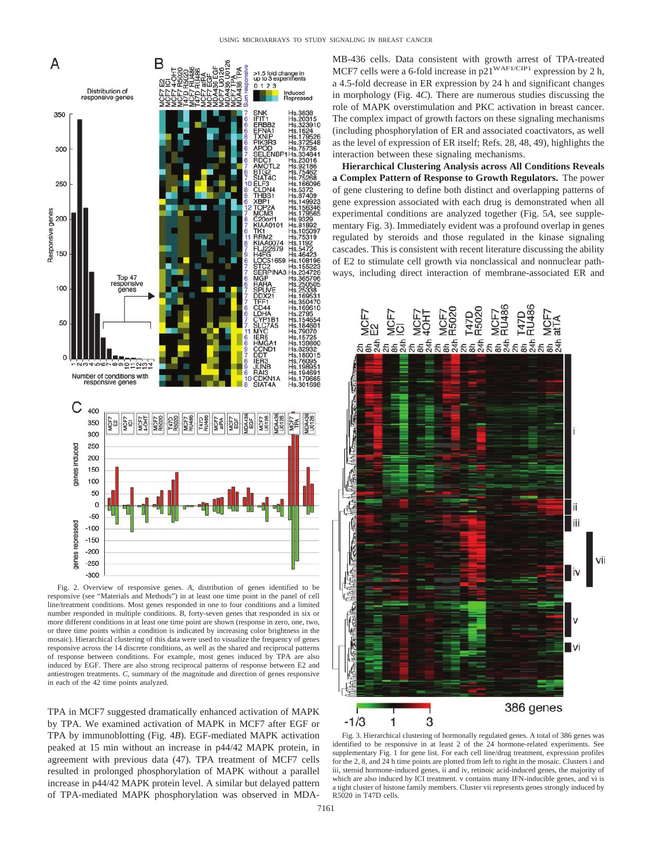

Fig. 2. Overview of responsive genes. *A*, distribution of genes identified to be responsive (see "Materials and Methods") in at least one time point in the panel of cell line/treatment conditions. Most genes responded in one to four conditions and a limited number responded in multiple conditions. *B*, forty-seven genes that responded in six or more different conditions in at least one time point are shown (response in zero, one, two, or three time points within a condition is indicated by increasing color brightness in the mosaic). Hierarchical clustering of this data were used to visualize the frequency of genes responsive across the 14 discrete conditions, as well as the shared and reciprocal patterns of response between conditions. For example, most genes induced by TPA are also induced by EGF. There are also strong reciprocal patterns of response between E2 and antiestrogen treatments. *C*, summary of the magnitude and direction of genes responsive in each of the 42 time points analyzed.

TPA in MCF7 suggested dramatically enhanced activation of MAPK by TPA. We examined activation of MAPK in MCF7 after EGF or TPA by immunoblotting (Fig. 4*B*). EGF-mediated MAPK activation peaked at 15 min without an increase in p44/42 MAPK protein, in agreement with previous data (47). TPA treatment of MCF7 cells resulted in prolonged phosphorylation of MAPK without a parallel increase in p44/42 MAPK protein level. A similar but delayed pattern of TPA-mediated MAPK phosphorylation was observed in MDA-

MB-436 cells. Data consistent with growth arrest of TPA-treated MCF7 cells were a 6-fold increase in  $p21^{\text{WAF1/CIP1}}$  expression by 2 h, a 4.5-fold decrease in ER expression by 24 h and significant changes in morphology (Fig. 4*C*). There are numerous studies discussing the role of MAPK overstimulation and PKC activation in breast cancer. The complex impact of growth factors on these signaling mechanisms (including phosphorylation of ER and associated coactivators, as well as the level of expression of ER itself; Refs. 28, 48, 49), highlights the interaction between these signaling mechanisms.

**Hierarchical Clustering Analysis across All Conditions Reveals a Complex Pattern of Response to Growth Regulators.** The power of gene clustering to define both distinct and overlapping patterns of gene expression associated with each drug is demonstrated when all experimental conditions are analyzed together (Fig. 5*A*, see supplementary Fig. 3). Immediately evident was a profound overlap in genes regulated by steroids and those regulated in the kinase signaling cascades. This is consistent with recent literature discussing the ability of E2 to stimulate cell growth via nonclassical and nonnuclear pathways, including direct interaction of membrane-associated ER and



Fig. 3. Hierarchical clustering of hormonally regulated genes. A total of 386 genes was identified to be responsive in at least 2 of the 24 hormone-related experiments. See supplementary Fig. 1 for gene list. For each cell line/drug treatment, expression profiles for the 2, 8, and 24 h time points are plotted from left to right in the mosaic. Clusters i and iii, steroid hormone-induced genes, ii and iv, retinoic acid-induced genes, the majority of which are also induced by ICI treatment. v contains many IFN-inducible genes, and vi is a tight cluster of histone family members. Cluster vii represents genes strongly induced by R5020 in T47D cells.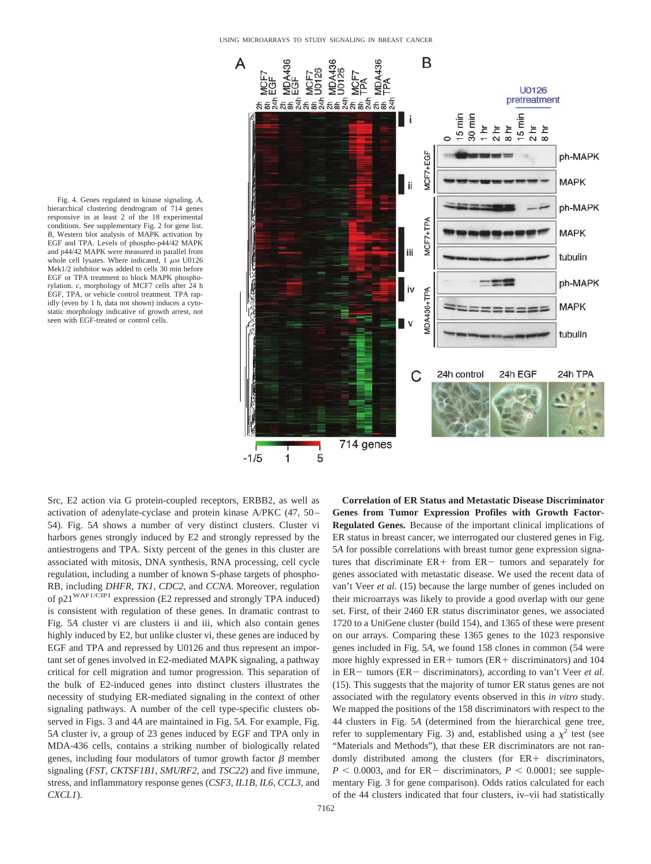

Fig. 4. Genes regulated in kinase signaling. *A*, hierarchical clustering dendrogram of 714 genes responsive in at least 2 of the 18 experimental conditions. See supplementary Fig. 2 for gene list. *B*, Western blot analysis of MAPK activation by EGF and TPA. Levels of phospho-p44/42 MAPK and p44/42 MAPK were measured in parallel from whole cell lysates. Where indicated,  $1 \mu M$  U0126 Mek1/2 inhibitor was added to cells 30 min before EGF or TPA treatment to block MAPK phosphorylation. *c*, morphology of MCF7 cells after 24 h EGF, TPA, or vehicle control treatment. TPA rapidly (even by 1 h, data not shown) induces a cytostatic morphology indicative of growth arrest, not seen with EGF-treated or control cells.

Src, E2 action via G protein-coupled receptors, ERBB2, as well as activation of adenylate-cyclase and protein kinase A/PKC (47, 50– 54). Fig. 5*A* shows a number of very distinct clusters. Cluster vi harbors genes strongly induced by E2 and strongly repressed by the antiestrogens and TPA. Sixty percent of the genes in this cluster are associated with mitosis, DNA synthesis, RNA processing, cell cycle regulation, including a number of known S-phase targets of phospho-RB, including *DHFR*, *TK1*, *CDC2*, and *CCNA*. Moreover, regulation of p21WAF1/CIP1 expression (E2 repressed and strongly TPA induced) is consistent with regulation of these genes. In dramatic contrast to Fig. 5*A* cluster vi are clusters ii and iii, which also contain genes highly induced by E2, but unlike cluster vi, these genes are induced by EGF and TPA and repressed by U0126 and thus represent an important set of genes involved in E2-mediated MAPK signaling, a pathway critical for cell migration and tumor progression. This separation of the bulk of E2-induced genes into distinct clusters illustrates the necessity of studying ER-mediated signaling in the context of other signaling pathways. A number of the cell type-specific clusters observed in Figs. 3 and 4*A* are maintained in Fig. 5*A*. For example, Fig. 5*A* cluster iv, a group of 23 genes induced by EGF and TPA only in MDA-436 cells, contains a striking number of biologically related genes, including four modulators of tumor growth factor  $\beta$  member signaling (*FST*, *CKTSF1B1*, *SMURF2*, and *TSC22*) and five immune, stress, and inflammatory response genes (*CSF3*, *IL1B*, *IL6*, *CCL3*, and *CXCL1*).

**Correlation of ER Status and Metastatic Disease Discriminator Genes from Tumor Expression Profiles with Growth Factor-Regulated Genes.** Because of the important clinical implications of ER status in breast cancer, we interrogated our clustered genes in Fig. 5*A* for possible correlations with breast tumor gene expression signatures that discriminate  $ER + from ER -$  tumors and separately for genes associated with metastatic disease. We used the recent data of van't Veer *et al.* (15) because the large number of genes included on their microarrays was likely to provide a good overlap with our gene set. First, of their 2460 ER status discriminator genes, we associated 1720 to a UniGene cluster (build 154), and 1365 of these were present on our arrays. Comparing these 1365 genes to the 1023 responsive genes included in Fig. 5*A*, we found 158 clones in common (54 were more highly expressed in ER + tumors (ER + discriminators) and 104 in  $ER$  – tumors ( $ER$  – discriminators), according to van't Veer *et al.* (15). This suggests that the majority of tumor ER status genes are not associated with the regulatory events observed in this *in vitro* study. We mapped the positions of the 158 discriminators with respect to the 44 clusters in Fig. 5*A* (determined from the hierarchical gene tree, refer to supplementary Fig. 3) and, established using a  $\chi^2$  test (see "Materials and Methods"), that these ER discriminators are not randomly distributed among the clusters (for ER+ discriminators,  $P \le 0.0003$ , and for ER discriminators,  $P \le 0.0001$ ; see supplementary Fig. 3 for gene comparison). Odds ratios calculated for each of the 44 clusters indicated that four clusters, iv–vii had statistically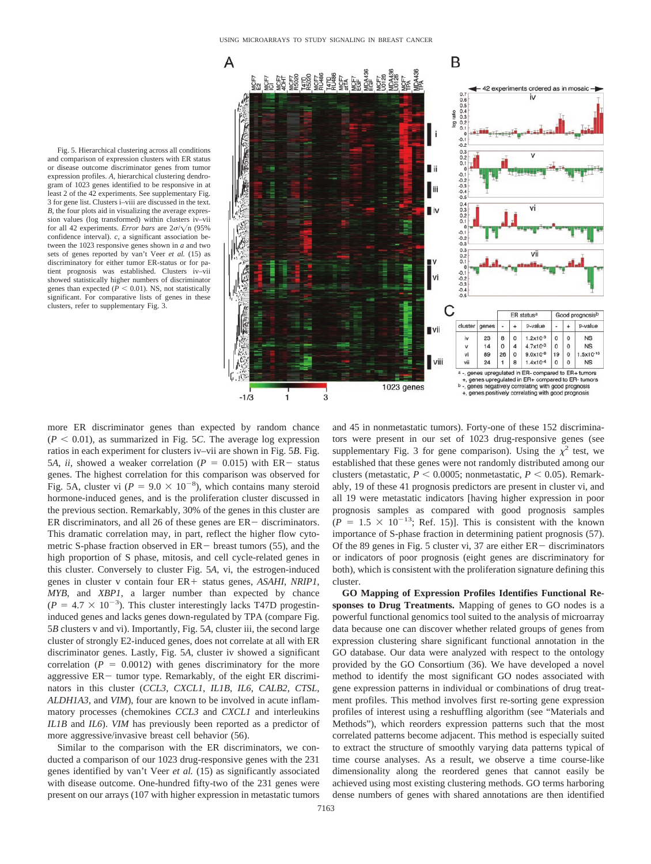

Fig. 5. Hierarchical clustering across all conditions and comparison of expression clusters with ER status or disease outcome discriminator genes from tumor expression profiles. *A*, hierarchical clustering dendrogram of 1023 genes identified to be responsive in at least 2 of the 42 experiments. See supplementary Fig. 3 for gene list. Clusters i–viii are discussed in the text. *B*, the four plots aid in visualizing the average expression values (log transformed) within clusters iv–vii for all 42 experiments. *Error bars* are  $2\sigma/\sqrt{n}$  (95%) confidence interval). *c*, a significant association between the 1023 responsive genes shown in *a* and two sets of genes reported by van't Veer *et al.* (15) as discriminatory for either tumor ER-status or for patient prognosis was established. Clusters iv–vii showed statistically higher numbers of discriminator genes than expected ( $P < 0.01$ ). NS, not statistically significant. For comparative lists of genes in these clusters, refer to supplementary Fig. 3.

more ER discriminator genes than expected by random chance  $(P < 0.01)$ , as summarized in Fig. 5*C*. The average log expression ratios in each experiment for clusters iv–vii are shown in Fig. 5*B*. Fig. 5*A*, *ii*, showed a weaker correlation ( $P = 0.015$ ) with ER - status genes. The highest correlation for this comparison was observed for Fig. 5A, cluster vi ( $P = 9.0 \times 10^{-8}$ ), which contains many steroid hormone-induced genes, and is the proliferation cluster discussed in the previous section. Remarkably, 30% of the genes in this cluster are ER discriminators, and all 26 of these genes are  $ER -$  discriminators. This dramatic correlation may, in part, reflect the higher flow cytometric S-phase fraction observed in  $ER$  breast tumors (55), and the high proportion of S phase, mitosis, and cell cycle-related genes in this cluster. Conversely to cluster Fig. 5*A*, vi, the estrogen-induced genes in cluster v contain four ER+ status genes, *ASAHI*, *NRIP1*, *MYB*, and *XBP1*, a larger number than expected by chance  $(P = 4.7 \times 10^{-3})$ . This cluster interestingly lacks T47D progestininduced genes and lacks genes down-regulated by TPA (compare Fig. 5*B* clusters v and vi). Importantly, Fig. 5*A*, cluster iii, the second large cluster of strongly E2-induced genes, does not correlate at all with ER discriminator genes. Lastly, Fig. 5*A*, cluster iv showed a significant correlation  $(P = 0.0012)$  with genes discriminatory for the more aggressive  $ER$  tumor type. Remarkably, of the eight ER discriminators in this cluster (*CCL3*, *CXCL1*, *IL1B*, *IL6*, *CALB2*, *CTSL*, *ALDH1A3*, and *VIM*), four are known to be involved in acute inflammatory processes (chemokines *CCL3* and *CXCL1* and interleukins *IL1B* and *IL6*). *VIM* has previously been reported as a predictor of more aggressive/invasive breast cell behavior (56).

Similar to the comparison with the ER discriminators, we conducted a comparison of our 1023 drug-responsive genes with the 231 genes identified by van't Veer *et al.* (15) as significantly associated with disease outcome. One-hundred fifty-two of the 231 genes were present on our arrays (107 with higher expression in metastatic tumors

and 45 in nonmetastatic tumors). Forty-one of these 152 discriminators were present in our set of 1023 drug-responsive genes (see supplementary Fig. 3 for gene comparison). Using the  $\chi^2$  test, we established that these genes were not randomly distributed among our clusters (metastatic,  $P \le 0.0005$ ; nonmetastatic,  $P \le 0.05$ ). Remarkably, 19 of these 41 prognosis predictors are present in cluster vi, and all 19 were metastatic indicators [having higher expression in poor prognosis samples as compared with good prognosis samples  $(P = 1.5 \times 10^{-13}$ ; Ref. 15)]. This is consistent with the known importance of S-phase fraction in determining patient prognosis (57). Of the 89 genes in Fig. 5 cluster vi, 37 are either  $ER -$  discriminators or indicators of poor prognosis (eight genes are discriminatory for both), which is consistent with the proliferation signature defining this cluster.

**GO Mapping of Expression Profiles Identifies Functional Responses to Drug Treatments.** Mapping of genes to GO nodes is a powerful functional genomics tool suited to the analysis of microarray data because one can discover whether related groups of genes from expression clustering share significant functional annotation in the GO database. Our data were analyzed with respect to the ontology provided by the GO Consortium (36). We have developed a novel method to identify the most significant GO nodes associated with gene expression patterns in individual or combinations of drug treatment profiles. This method involves first re-sorting gene expression profiles of interest using a reshuffling algorithm (see "Materials and Methods"), which reorders expression patterns such that the most correlated patterns become adjacent. This method is especially suited to extract the structure of smoothly varying data patterns typical of time course analyses. As a result, we observe a time course-like dimensionality along the reordered genes that cannot easily be achieved using most existing clustering methods. GO terms harboring dense numbers of genes with shared annotations are then identified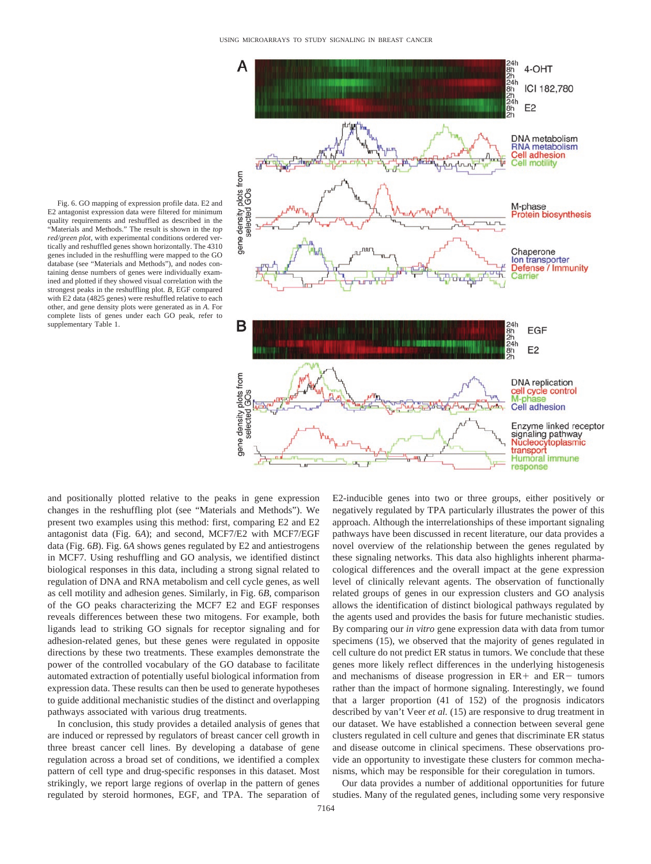

Fig. 6. GO mapping of expression profile data. E2 and E2 antagonist expression data were filtered for minimum quality requirements and reshuffled as described in the "Materials and Methods." The result is shown in the *top red/green plot*, with experimental conditions ordered vertically and reshuffled genes shown horizontally. The 4310 genes included in the reshuffling were mapped to the GO database (see "Materials and Methods"), and nodes containing dense numbers of genes were individually examined and plotted if they showed visual correlation with the strongest peaks in the reshuffling plot. *B*, EGF compared with E2 data (4825 genes) were reshuffled relative to each other, and gene density plots were generated as in *A*. For complete lists of genes under each GO peak, refer to supplementary Table 1.

and positionally plotted relative to the peaks in gene expression changes in the reshuffling plot (see "Materials and Methods"). We present two examples using this method: first, comparing E2 and E2 antagonist data (Fig. 6*A*); and second, MCF7/E2 with MCF7/EGF data (Fig. 6*B*). Fig. 6*A* shows genes regulated by E2 and antiestrogens in MCF7. Using reshuffling and GO analysis, we identified distinct biological responses in this data, including a strong signal related to regulation of DNA and RNA metabolism and cell cycle genes, as well as cell motility and adhesion genes. Similarly, in Fig. 6*B*, comparison of the GO peaks characterizing the MCF7 E2 and EGF responses reveals differences between these two mitogens. For example, both ligands lead to striking GO signals for receptor signaling and for adhesion-related genes, but these genes were regulated in opposite directions by these two treatments. These examples demonstrate the power of the controlled vocabulary of the GO database to facilitate automated extraction of potentially useful biological information from expression data. These results can then be used to generate hypotheses to guide additional mechanistic studies of the distinct and overlapping pathways associated with various drug treatments.

In conclusion, this study provides a detailed analysis of genes that are induced or repressed by regulators of breast cancer cell growth in three breast cancer cell lines. By developing a database of gene regulation across a broad set of conditions, we identified a complex pattern of cell type and drug-specific responses in this dataset. Most strikingly, we report large regions of overlap in the pattern of genes regulated by steroid hormones, EGF, and TPA. The separation of E2-inducible genes into two or three groups, either positively or negatively regulated by TPA particularly illustrates the power of this approach. Although the interrelationships of these important signaling pathways have been discussed in recent literature, our data provides a novel overview of the relationship between the genes regulated by these signaling networks. This data also highlights inherent pharmacological differences and the overall impact at the gene expression level of clinically relevant agents. The observation of functionally related groups of genes in our expression clusters and GO analysis allows the identification of distinct biological pathways regulated by the agents used and provides the basis for future mechanistic studies. By comparing our *in vitro* gene expression data with data from tumor specimens (15), we observed that the majority of genes regulated in cell culture do not predict ER status in tumors. We conclude that these genes more likely reflect differences in the underlying histogenesis and mechanisms of disease progression in  $ER +$  and  $ER -$  tumors rather than the impact of hormone signaling. Interestingly, we found that a larger proportion (41 of 152) of the prognosis indicators described by van't Veer *et al.* (15) are responsive to drug treatment in our dataset. We have established a connection between several gene clusters regulated in cell culture and genes that discriminate ER status and disease outcome in clinical specimens. These observations provide an opportunity to investigate these clusters for common mechanisms, which may be responsible for their coregulation in tumors.

Our data provides a number of additional opportunities for future studies. Many of the regulated genes, including some very responsive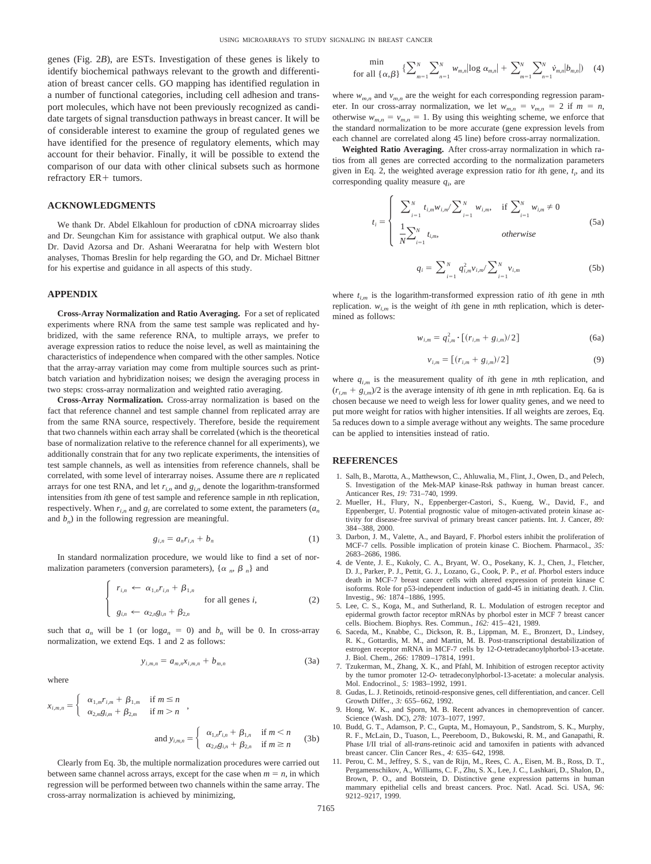genes (Fig. 2*B*), are ESTs. Investigation of these genes is likely to identify biochemical pathways relevant to the growth and differentiation of breast cancer cells. GO mapping has identified regulation in a number of functional categories, including cell adhesion and transport molecules, which have not been previously recognized as candidate targets of signal transduction pathways in breast cancer. It will be of considerable interest to examine the group of regulated genes we have identified for the presence of regulatory elements, which may account for their behavior. Finally, it will be possible to extend the comparison of our data with other clinical subsets such as hormone refractory ER+ tumors.

### **ACKNOWLEDGMENTS**

We thank Dr. Abdel Elkahloun for production of cDNA microarray slides and Dr. Seungchan Kim for assistance with graphical output. We also thank Dr. David Azorsa and Dr. Ashani Weeraratna for help with Western blot analyses, Thomas Breslin for help regarding the GO, and Dr. Michael Bittner for his expertise and guidance in all aspects of this study.

#### **APPENDIX**

**Cross-Array Normalization and Ratio Averaging.** For a set of replicated experiments where RNA from the same test sample was replicated and hybridized, with the same reference RNA, to multiple arrays, we prefer to average expression ratios to reduce the noise level, as well as maintaining the characteristics of independence when compared with the other samples. Notice that the array-array variation may come from multiple sources such as printbatch variation and hybridization noises; we design the averaging process in two steps: cross-array normalization and weighted ratio averaging.

**Cross-Array Normalization.** Cross-array normalization is based on the fact that reference channel and test sample channel from replicated array are from the same RNA source, respectively. Therefore, beside the requirement that two channels within each array shall be correlated (which is the theoretical base of normalization relative to the reference channel for all experiments), we additionally constrain that for any two replicate experiments, the intensities of test sample channels, as well as intensities from reference channels, shall be correlated, with some level of interarray noises. Assume there are *n* replicated arrays for one test RNA, and let  $r_{i,n}$  and  $g_{i,n}$  denote the logarithm-transformed intensities from *i*th gene of test sample and reference sample in *n*th replication, respectively. When  $r_{i,n}$  and  $g_i$  are correlated to some extent, the parameters  $(a_n)$ and  $b_n$ ) in the following regression are meaningful.

$$
g_{i,n} = a_n r_{i,n} + b_n \tag{1}
$$

In standard normalization procedure, we would like to find a set of normalization parameters (conversion parameters),  $\{\alpha_n, \beta_n\}$  and

$$
\begin{cases}\n r_{i,n} \leftarrow \alpha_{1,n} r_{i,n} + \beta_{1,n} \\
\text{for all genes } i, \\
g_{i,n} \leftarrow \alpha_{2,n} g_{i,n} + \beta_{2,n}\n\end{cases}
$$
\n(2)

such that  $a_n$  will be 1 (or  $log a_n = 0$ ) and  $b_n$  will be 0. In cross-array normalization, we extend Eqs. 1 and 2 as follows:

$$
y_{i,m,n} = a_{m,n} x_{i,m,n} + b_{m,n}
$$
 (3a)

where

$$
x_{i,m,n} = \begin{cases} \alpha_{1,m} r_{i,m} + \beta_{1,m} & \text{if } m \le n \\ \alpha_{2,m} g_{i,m} + \beta_{2,m} & \text{if } m > n \end{cases}
$$
  
and 
$$
y_{i,m,n} = \begin{cases} \alpha_{1,n} r_{i,n} + \beta_{1,n} & \text{if } m \le n \\ \alpha_{2,m} g_{i,n} + \beta_{2,n} & \text{if } m \ge n \end{cases}
$$
 (3b)

Clearly from Eq. 3b, the multiple normalization procedures were carried out between same channel across arrays, except for the case when  $m = n$ , in which regression will be performed between two channels within the same array. The cross-array normalization is achieved by minimizing,

$$
\min_{\text{for all } \{\alpha, \beta\}} \left\{ \sum_{m=1}^{N} \sum_{n=1}^{N} w_{m,n} |\text{log } \alpha_{m,n}| + \sum_{m=1}^{N} \sum_{n=1}^{N} \dot{v}_{m,n} |b_{m,n}| \right\} \tag{4}
$$

where  $w_{m,n}$  and  $v_{m,n}$  are the weight for each corresponding regression parameter. In our cross-array normalization, we let  $w_{m,n} = v_{m,n} = 2$  if  $m = n$ , otherwise  $w_{m,n} = v_{m,n} = 1$ . By using this weighting scheme, we enforce that the standard normalization to be more accurate (gene expression levels from each channel are correlated along 45 line) before cross-array normalization.

**Weighted Ratio Averaging.** After cross-array normalization in which ratios from all genes are corrected according to the normalization parameters given in Eq. 2, the weighted average expression ratio for *i*th gene,  $t_i$ , and its corresponding quality measure  $q_i$ , are

$$
t_{i} = \begin{cases} \sum_{i=1}^{N} t_{i,m} w_{i,m} / \sum_{i=1}^{N} w_{i,m}, & \text{if } \sum_{i=1}^{N} w_{i,m} \neq 0 \\ \frac{1}{N} \sum_{i=1}^{N} t_{i,m}, & \text{otherwise} \end{cases}
$$
(5a)

$$
q_i = \sum_{i=1}^{N} q_{i,m}^2 v_{i,m} / \sum_{i=1}^{N} v_{i,m}
$$
 (5b)

where  $t_{i,m}$  is the logarithm-transformed expression ratio of *i*th gene in *m*th replication. *wi,m* is the weight of *i*th gene in *m*th replication, which is determined as follows:

$$
w_{i,m} = q_{i,m}^2 \cdot \left[ (r_{i,m} + g_{i,m})/2 \right] \tag{6a}
$$

$$
v_{i,m} = \left[ (r_{i,m} + g_{i,m})/2 \right] \tag{9}
$$

where  $q_{i,m}$  is the measurement quality of *i*th gene in *m*th replication, and  $(r_{i,m} + g_{i,m})/2$  is the average intensity of *i*th gene in *m*th replication. Eq. 6a is chosen because we need to weigh less for lower quality genes, and we need to put more weight for ratios with higher intensities. If all weights are zeroes, Eq. 5a reduces down to a simple average without any weights. The same procedure can be applied to intensities instead of ratio.

#### **REFERENCES**

- 1. Salh, B., Marotta, A., Matthewson, C., Ahluwalia, M., Flint, J., Owen, D., and Pelech, S. Investigation of the Mek-MAP kinase-Rsk pathway in human breast cancer. Anticancer Res, *19:* 731–740, 1999.
- 2. Mueller, H., Flury, N., Eppenberger-Castori, S., Kueng, W., David, F., and Eppenberger, U. Potential prognostic value of mitogen-activated protein kinase activity for disease-free survival of primary breast cancer patients. Int. J. Cancer, *89:* 384–388, 2000.
- 3. Darbon, J. M., Valette, A., and Bayard, F. Phorbol esters inhibit the proliferation of MCF-7 cells. Possible implication of protein kinase C. Biochem. Pharmacol., *35:* 2683–2686, 1986.
- 4. de Vente, J. E., Kukoly, C. A., Bryant, W. O., Posekany, K. J., Chen, J., Fletcher, D. J., Parker, P. J., Pettit, G. J., Lozano, G., Cook, P. P., *et al*. Phorbol esters induce death in MCF-7 breast cancer cells with altered expression of protein kinase C isoforms. Role for p53-independent induction of gadd-45 in initiating death. J. Clin. Investig., *96:* 1874–1886, 1995.
- 5. Lee, C. S., Koga, M., and Sutherland, R. L. Modulation of estrogen receptor and epidermal growth factor receptor mRNAs by phorbol ester in MCF 7 breast cancer cells. Biochem. Biophys. Res. Commun., *162:* 415–421, 1989.
- 6. Saceda, M., Knabbe, C., Dickson, R. B., Lippman, M. E., Bronzert, D., Lindsey, R. K., Gottardis, M. M., and Martin, M. B. Post-transcriptional destabilization of estrogen receptor mRNA in MCF-7 cells by 12-*O*-tetradecanoylphorbol-13-acetate. J. Biol. Chem., *266:* 17809–17814, 1991.
- 7. Tzukerman, M., Zhang, X. K., and Pfahl, M. Inhibition of estrogen receptor activity by the tumor promoter 12-*O*- tetradeconylphorbol-13-acetate: a molecular analysis. Mol. Endocrinol., *5:* 1983–1992, 1991.
- 8. Gudas, L. J. Retinoids, retinoid-responsive genes, cell differentiation, and cancer. Cell Growth Differ., *3:* 655–662, 1992.
- 9. Hong, W. K., and Sporn, M. B. Recent advances in chemoprevention of cancer. Science (Wash. DC), *278:* 1073–1077, 1997.
- 10. Budd, G. T., Adamson, P. C., Gupta, M., Homayoun, P., Sandstrom, S. K., Murphy, R. F., McLain, D., Tuason, L., Peereboom, D., Bukowski, R. M., and Ganapathi, R. Phase I/II trial of all-*trans*-retinoic acid and tamoxifen in patients with advanced breast cancer. Clin Cancer Res., *4:* 635–642, 1998.
- 11. Perou, C. M., Jeffrey, S. S., van de Rijn, M., Rees, C. A., Eisen, M. B., Ross, D. T., Pergamenschikov, A., Williams, C. F., Zhu, S. X., Lee, J. C., Lashkari, D., Shalon, D., Brown, P. O., and Botstein, D. Distinctive gene expression patterns in human mammary epithelial cells and breast cancers. Proc. Natl. Acad. Sci. USA, *96:* 9212–9217, 1999.